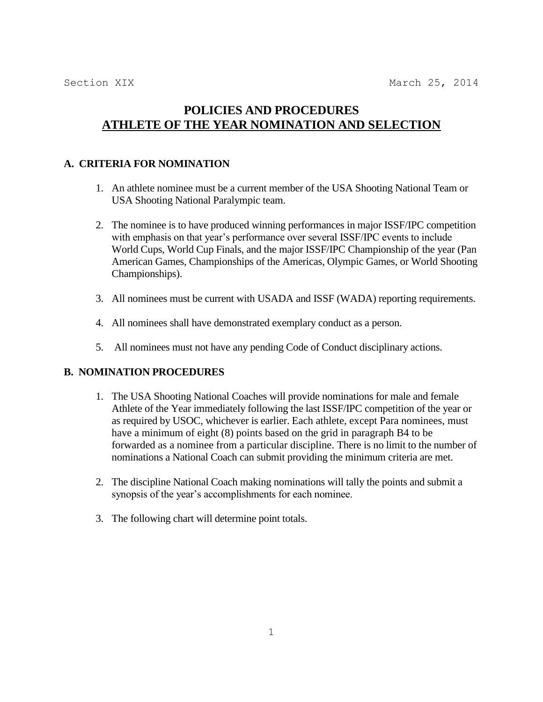# **POLICIES AND PROCEDURES ATHLETE OF THE YEAR NOMINATION AND SELECTION**

#### **A. CRITERIA FOR NOMINATION**

- 1. An athlete nominee must be a current member of the USA Shooting National Team or USA Shooting National Paralympic team.
- 2. The nominee is to have produced winning performances in major ISSF/IPC competition with emphasis on that year's performance over several ISSF/IPC events to include World Cups, World Cup Finals, and the major ISSF/IPC Championship of the year (Pan American Games, Championships of the Americas, Olympic Games, or World Shooting Championships).
- 3. All nominees must be current with USADA and ISSF (WADA) reporting requirements.
- 4. All nominees shall have demonstrated exemplary conduct as a person.
- 5. All nominees must not have any pending Code of Conduct disciplinary actions.

#### **B. NOMINATION PROCEDURES**

- 1. The USA Shooting National Coaches will provide nominations for male and female Athlete of the Year immediately following the last ISSF/IPC competition of the year or as required by USOC, whichever is earlier. Each athlete, except Para nominees, must have a minimum of eight (8) points based on the grid in paragraph B4 to be forwarded as a nominee from a particular discipline. There is no limit to the number of nominations a National Coach can submit providing the minimum criteria are met.
- 2. The discipline National Coach making nominations will tally the points and submit a synopsis of the year's accomplishments for each nominee.
- 3. The following chart will determine point totals.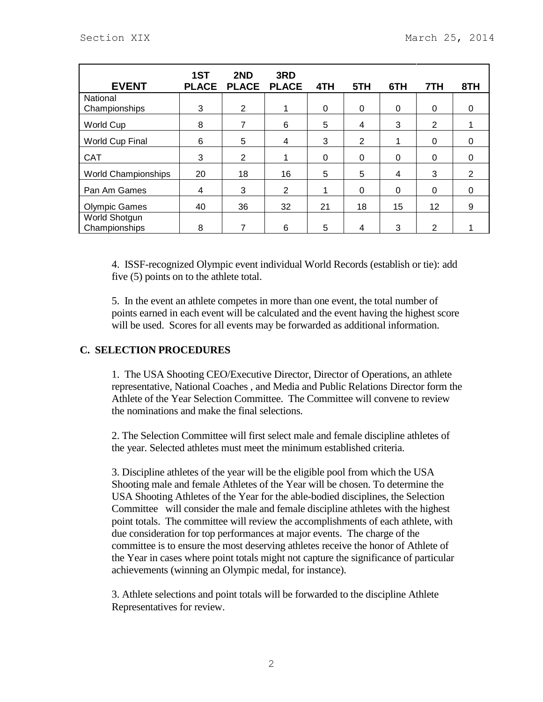| <b>EVENT</b>                   | 1ST<br><b>PLACE</b> | 2ND<br><b>PLACE</b> | 3RD<br><b>PLACE</b> | 4TH      | 5TH      | 6TH      | 7TH            | 8TH      |
|--------------------------------|---------------------|---------------------|---------------------|----------|----------|----------|----------------|----------|
| National                       |                     |                     |                     |          |          |          |                |          |
| Championships                  | 3                   | $\overline{2}$      |                     | $\Omega$ | 0        | 0        | 0              | $\Omega$ |
| World Cup                      | 8                   | 7                   | 6                   | 5        | 4        | 3        | 2              |          |
| World Cup Final                | 6                   | 5                   | 4                   | 3        | 2        |          | $\Omega$       | $\Omega$ |
| <b>CAT</b>                     | 3                   | $\overline{2}$      |                     | $\Omega$ | $\Omega$ | 0        | 0              | $\Omega$ |
| <b>World Championships</b>     | 20                  | 18                  | 16                  | 5        | 5        | 4        | 3              | 2        |
| Pan Am Games                   | 4                   | 3                   | 2                   | 1        | $\Omega$ | $\Omega$ | 0              | $\Omega$ |
| <b>Olympic Games</b>           | 40                  | 36                  | 32                  | 21       | 18       | 15       | 12             | 9        |
| World Shotgun<br>Championships | 8                   |                     | 6                   | 5        | 4        | 3        | $\overline{2}$ |          |

4. ISSF-recognized Olympic event individual World Records (establish or tie): add five (5) points on to the athlete total.

5. In the event an athlete competes in more than one event, the total number of points earned in each event will be calculated and the event having the highest score will be used. Scores for all events may be forwarded as additional information.

### **C. SELECTION PROCEDURES**

1. The USA Shooting CEO/Executive Director, Director of Operations, an athlete representative, National Coaches , and Media and Public Relations Director form the Athlete of the Year Selection Committee. The Committee will convene to review the nominations and make the final selections.

2. The Selection Committee will first select male and female discipline athletes of the year. Selected athletes must meet the minimum established criteria.

3. Discipline athletes of the year will be the eligible pool from which the USA Shooting male and female Athletes of the Year will be chosen. To determine the USA Shooting Athletes of the Year for the able-bodied disciplines, the Selection Committee will consider the male and female discipline athletes with the highest point totals. The committee will review the accomplishments of each athlete, with due consideration for top performances at major events. The charge of the committee is to ensure the most deserving athletes receive the honor of Athlete of the Year in cases where point totals might not capture the significance of particular achievements (winning an Olympic medal, for instance).

3. Athlete selections and point totals will be forwarded to the discipline Athlete Representatives for review.